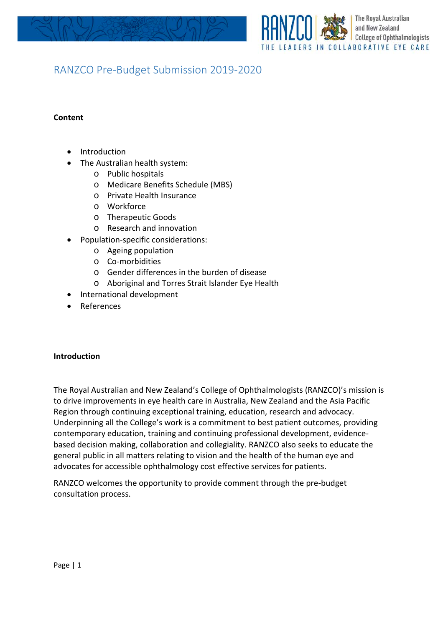

# RANZCO Pre-Budget Submission 2019-2020

## **Content**

- Introduction
- The Australian health system:
	- o Public hospitals
	- o Medicare Benefits Schedule (MBS)
	- o Private Health Insurance
	- o Workforce
	- o Therapeutic Goods
	- o Research and innovation
- Population-specific considerations:
	- o Ageing population
	- o Co-morbidities
	- o Gender differences in the burden of disease
	- o Aboriginal and Torres Strait Islander Eye Health
- International development
- **References**

#### **Introduction**

The Royal Australian and New Zealand's College of Ophthalmologists (RANZCO)'s mission is to drive improvements in eye health care in Australia, New Zealand and the Asia Pacific Region through continuing exceptional training, education, research and advocacy. Underpinning all the College's work is a commitment to best patient outcomes, providing contemporary education, training and continuing professional development, evidencebased decision making, collaboration and collegiality. RANZCO also seeks to educate the general public in all matters relating to vision and the health of the human eye and advocates for accessible ophthalmology cost effective services for patients.

RANZCO welcomes the opportunity to provide comment through the pre-budget consultation process.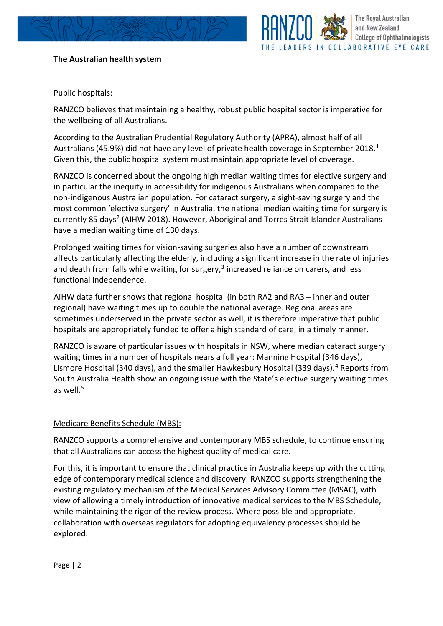# **The Australian health system**



## Public hospitals:

RANZCO believes that maintaining a healthy, robust public hospital sector is imperative for the wellbeing of all Australians.

According to the Australian Prudential Regulatory Authority (APRA), almost half of all Australians (45.9%) did not have any level of private health coverage in September 20[1](#page-10-0)8.<sup>1</sup> Given this, the public hospital system must maintain appropriate level of coverage.

RANZCO is concerned about the ongoing high median waiting times for elective surgery and in particular the inequity in accessibility for indigenous Australians when compared to the non-indigenous Australian population. For cataract surgery, a sight-saving surgery and the most common 'elective surgery' in Australia, the national median waiting time for surgery is currently 85 days<sup>2</sup> (AIHW 2018). However, Aboriginal and Torres Strait Islander Australians have a median waiting time of 130 days.

Prolonged waiting times for vision-saving surgeries also have a number of downstream affects particularly affecting the elderly, including a significant increase in the rate of injuries and death from falls while waiting for surgery,<sup>[3](#page-10-2)</sup> increased reliance on carers, and less functional independence.

AIHW data further shows that regional hospital (in both RA2 and RA3 – inner and outer regional) have waiting times up to double the national average. Regional areas are sometimes underserved in the private sector as well, it is therefore imperative that public hospitals are appropriately funded to offer a high standard of care, in a timely manner.

RANZCO is aware of particular issues with hospitals in NSW, where median cataract surgery waiting times in a number of hospitals nears a full year: Manning Hospital (346 days), Lismore Hospital (3[4](#page-10-3)0 days), and the smaller Hawkesbury Hospital (339 days).<sup>4</sup> Reports from South Australia Health show an ongoing issue with the State's elective surgery waiting times as well. $5$ 

### Medicare Benefits Schedule (MBS):

RANZCO supports a comprehensive and contemporary MBS schedule, to continue ensuring that all Australians can access the highest quality of medical care.

For this, it is important to ensure that clinical practice in Australia keeps up with the cutting edge of contemporary medical science and discovery. RANZCO supports strengthening the existing regulatory mechanism of the Medical Services Advisory Committee (MSAC), with view of allowing a timely introduction of innovative medical services to the MBS Schedule, while maintaining the rigor of the review process. Where possible and appropriate, collaboration with overseas regulators for adopting equivalency processes should be explored.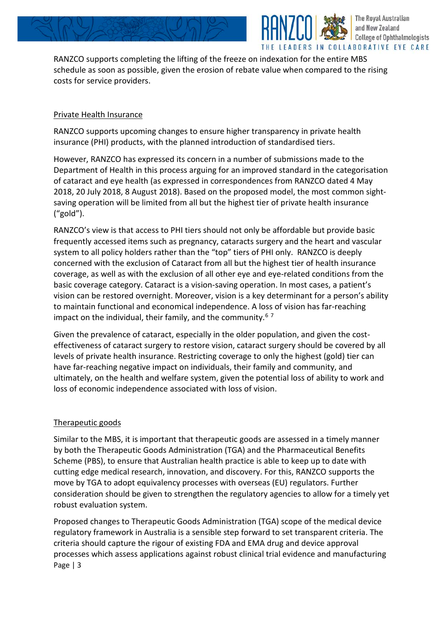

RANZCO supports completing the lifting of the freeze on indexation for the entire MBS schedule as soon as possible, given the erosion of rebate value when compared to the rising costs for service providers.

The Royal Australian and New Zealand

**College of Ophthalmologists** 

### Private Health Insurance

RANZCO supports upcoming changes to ensure higher transparency in private health insurance (PHI) products, with the planned introduction of standardised tiers.

However, RANZCO has expressed its concern in a number of submissions made to the Department of Health in this process arguing for an improved standard in the categorisation of cataract and eye health (as expressed in correspondences from RANZCO dated 4 May 2018, 20 July 2018, 8 August 2018). Based on the proposed model, the most common sightsaving operation will be limited from all but the highest tier of private health insurance ("gold").

RANZCO's view is that access to PHI tiers should not only be affordable but provide basic frequently accessed items such as pregnancy, cataracts surgery and the heart and vascular system to all policy holders rather than the "top" tiers of PHI only. RANZCO is deeply concerned with the exclusion of Cataract from all but the highest tier of health insurance coverage, as well as with the exclusion of all other eye and eye-related conditions from the basic coverage category. Cataract is a vision-saving operation. In most cases, a patient's vision can be restored overnight. Moreover, vision is a key determinant for a person's ability to maintain functional and economical independence. A loss of vision has far-reaching impact on the individual, their family, and the community.<sup>[6](#page-11-0)[7](#page-11-1)</sup>

Given the prevalence of cataract, especially in the older population, and given the costeffectiveness of cataract surgery to restore vision, cataract surgery should be covered by all levels of private health insurance. Restricting coverage to only the highest (gold) tier can have far-reaching negative impact on individuals, their family and community, and ultimately, on the health and welfare system, given the potential loss of ability to work and loss of economic independence associated with loss of vision.

# Therapeutic goods

Similar to the MBS, it is important that therapeutic goods are assessed in a timely manner by both the Therapeutic Goods Administration (TGA) and the Pharmaceutical Benefits Scheme (PBS), to ensure that Australian health practice is able to keep up to date with cutting edge medical research, innovation, and discovery. For this, RANZCO supports the move by TGA to adopt equivalency processes with overseas (EU) regulators. Further consideration should be given to strengthen the regulatory agencies to allow for a timely yet robust evaluation system.

Page | 3 Proposed changes to Therapeutic Goods Administration (TGA) scope of the medical device regulatory framework in Australia is a sensible step forward to set transparent criteria. The criteria should capture the rigour of existing FDA and EMA drug and device approval processes which assess applications against robust clinical trial evidence and manufacturing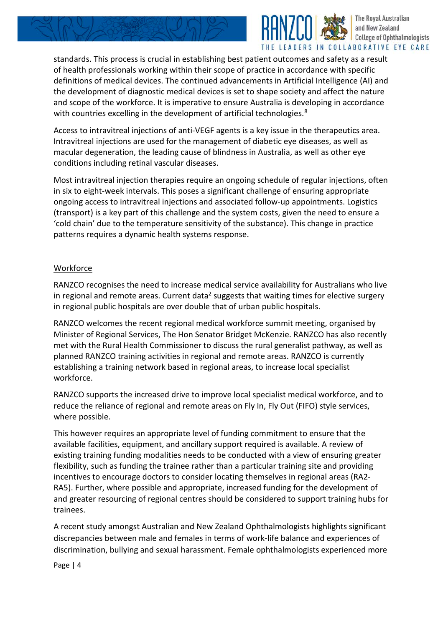

The Royal Australian and New Zealand **College of Ophthalmologists** LEADERS IN COLLABORATIVE EYE CARE

standards. This process is crucial in establishing best patient outcomes and safety as a result of health professionals working within their scope of practice in accordance with specific definitions of medical devices. The continued advancements in Artificial Intelligence (AI) and the development of diagnostic medical devices is set to shape society and affect the nature and scope of the workforce. It is imperative to ensure Australia is developing in accordance with countries excelling in the development of artificial technologies. $^8$  $^8$ 

Access to intravitreal injections of anti-VEGF agents is a key issue in the therapeutics area. Intravitreal injections are used for the management of diabetic eye diseases, as well as macular degeneration, the leading cause of blindness in Australia, as well as other eye conditions including retinal vascular diseases.

Most intravitreal injection therapies require an ongoing schedule of regular injections, often in six to eight-week intervals. This poses a significant challenge of ensuring appropriate ongoing access to intravitreal injections and associated follow-up appointments. Logistics (transport) is a key part of this challenge and the system costs, given the need to ensure a 'cold chain' due to the temperature sensitivity of the substance). This change in practice patterns requires a dynamic health systems response.

## Workforce

RANZCO recognises the need to increase medical service availability for Australians who live in regional and remote areas. Current data<sup>2</sup> suggests that waiting times for elective surgery in regional public hospitals are over double that of urban public hospitals.

RANZCO welcomes the recent regional medical workforce summit meeting, organised by Minister of Regional Services, The Hon Senator Bridget McKenzie. RANZCO has also recently met with the Rural Health Commissioner to discuss the rural generalist pathway, as well as planned RANZCO training activities in regional and remote areas. RANZCO is currently establishing a training network based in regional areas, to increase local specialist workforce.

RANZCO supports the increased drive to improve local specialist medical workforce, and to reduce the reliance of regional and remote areas on Fly In, Fly Out (FIFO) style services, where possible.

This however requires an appropriate level of funding commitment to ensure that the available facilities, equipment, and ancillary support required is available. A review of existing training funding modalities needs to be conducted with a view of ensuring greater flexibility, such as funding the trainee rather than a particular training site and providing incentives to encourage doctors to consider locating themselves in regional areas (RA2- RA5). Further, where possible and appropriate, increased funding for the development of and greater resourcing of regional centres should be considered to support training hubs for trainees.

A recent study amongst Australian and New Zealand Ophthalmologists highlights significant discrepancies between male and females in terms of work-life balance and experiences of discrimination, bullying and sexual harassment. Female ophthalmologists experienced more

Page | 4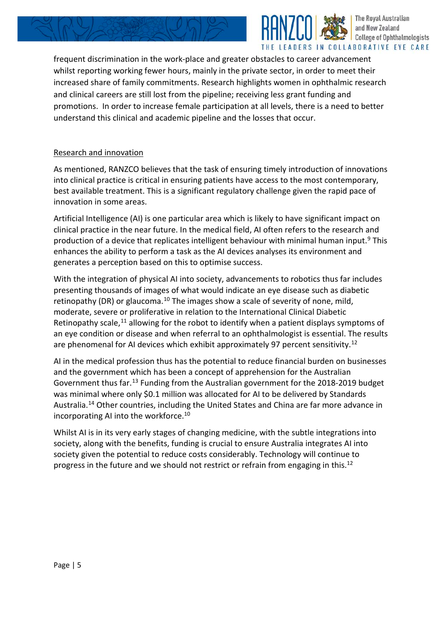



frequent discrimination in the work-place and greater obstacles to career advancement whilst reporting working fewer hours, mainly in the private sector, in order to meet their increased share of family commitments. Research highlights women in ophthalmic research and clinical careers are still lost from the pipeline; receiving less grant funding and promotions. In order to increase female participation at all levels, there is a need to better understand this clinical and academic pipeline and the losses that occur.

# Research and innovation

As mentioned, RANZCO believes that the task of ensuring timely introduction of innovations into clinical practice is critical in ensuring patients have access to the most contemporary, best available treatment. This is a significant regulatory challenge given the rapid pace of innovation in some areas.

Artificial Intelligence (AI) is one particular area which is likely to have significant impact on clinical practice in the near future. In the medical field, AI often refers to the research and production of a device that replicates intelligent behaviour with minimal human input.<sup>[9](#page-11-3)</sup> This enhances the ability to perform a task as the AI devices analyses its environment and generates a perception based on this to optimise success.

With the integration of physical AI into society, advancements to robotics thus far includes presenting thousands of images of what would indicate an eye disease such as diabetic retinopathy (DR) or glaucoma.<sup>[10](#page-11-4)</sup> The images show a scale of severity of none, mild, moderate, severe or proliferative in relation to the International Clinical Diabetic Retinopathy scale, $11$  allowing for the robot to identify when a patient displays symptoms of an eye condition or disease and when referral to an ophthalmologist is essential. The results are phenomenal for AI devices which exhibit approximately 97 percent sensitivity.<sup>[12](#page-11-6)</sup>

AI in the medical profession thus has the potential to reduce financial burden on businesses and the government which has been a concept of apprehension for the Australian Government thus far.<sup>[13](#page-11-7)</sup> Funding from the Australian government for the 2018-2019 budget was minimal where only \$0.1 million was allocated for AI to be delivered by Standards Australia.[14](#page-11-8) Other countries, including the United States and China are far more advance in incorporating AI into the workforce.<sup>10</sup>

Whilst AI is in its very early stages of changing medicine, with the subtle integrations into society, along with the benefits, funding is crucial to ensure Australia integrates AI into society given the potential to reduce costs considerably. Technology will continue to progress in the future and we should not restrict or refrain from engaging in this.<sup>12</sup>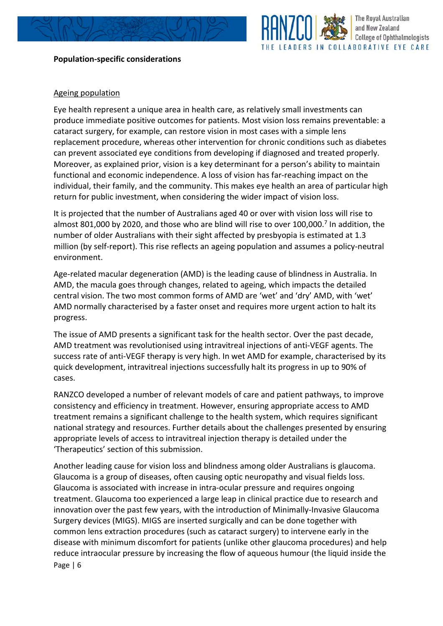

### **Population-specific considerations**

#### The Royal Australian and New Zealand **College of Ophthalmologists** LEADERS IN COLLABORATIVE EYE CARE

## Ageing population

Eye health represent a unique area in health care, as relatively small investments can produce immediate positive outcomes for patients. Most vision loss remains preventable: a cataract surgery, for example, can restore vision in most cases with a simple lens replacement procedure, whereas other intervention for chronic conditions such as diabetes can prevent associated eye conditions from developing if diagnosed and treated properly. Moreover, as explained prior, vision is a key determinant for a person's ability to maintain functional and economic independence. A loss of vision has far-reaching impact on the individual, their family, and the community. This makes eye health an area of particular high return for public investment, when considering the wider impact of vision loss.

It is projected that the number of Australians aged 40 or over with vision loss will rise to almost 801,000 by 2020, and those who are blind will rise to over 100,000.<sup>7</sup> In addition, the number of older Australians with their sight affected by presbyopia is estimated at 1.3 million (by self-report). This rise reflects an ageing population and assumes a policy-neutral environment.

Age-related macular degeneration (AMD) is the leading cause of blindness in Australia. In AMD, the macula goes through changes, related to ageing, which impacts the detailed central vision. The two most common forms of AMD are 'wet' and 'dry' AMD, with 'wet' AMD normally characterised by a faster onset and requires more urgent action to halt its progress.

The issue of AMD presents a significant task for the health sector. Over the past decade, AMD treatment was revolutionised using intravitreal injections of anti-VEGF agents. The success rate of anti-VEGF therapy is very high. In wet AMD for example, characterised by its quick development, intravitreal injections successfully halt its progress in up to 90% of cases.

RANZCO developed a number of relevant models of care and patient pathways, to improve consistency and efficiency in treatment. However, ensuring appropriate access to AMD treatment remains a significant challenge to the health system, which requires significant national strategy and resources. Further details about the challenges presented by ensuring appropriate levels of access to intravitreal injection therapy is detailed under the 'Therapeutics' section of this submission.

Page | 6 Another leading cause for vision loss and blindness among older Australians is glaucoma. Glaucoma is a group of diseases, often causing optic neuropathy and visual fields loss. Glaucoma is associated with increase in intra-ocular pressure and requires ongoing treatment. Glaucoma too experienced a large leap in clinical practice due to research and innovation over the past few years, with the introduction of Minimally-Invasive Glaucoma Surgery devices (MIGS). MIGS are inserted surgically and can be done together with common lens extraction procedures (such as cataract surgery) to intervene early in the disease with minimum discomfort for patients (unlike other glaucoma procedures) and help reduce intraocular pressure by increasing the flow of aqueous humour (the liquid inside the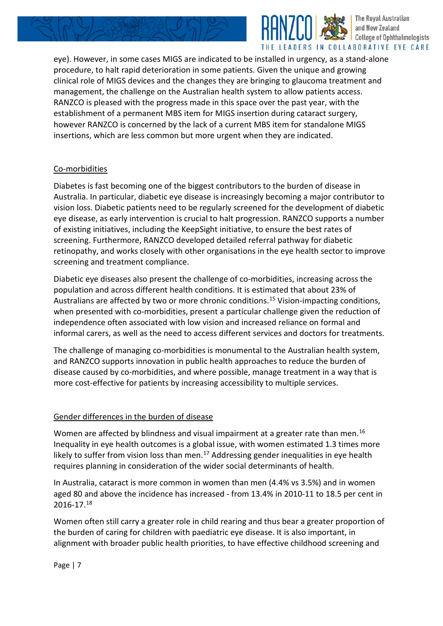



eye). However, in some cases MIGS are indicated to be installed in urgency, as a stand-alone procedure, to halt rapid deterioration in some patients. Given the unique and growing clinical role of MIGS devices and the changes they are bringing to glaucoma treatment and management, the challenge on the Australian health system to allow patients access. RANZCO is pleased with the progress made in this space over the past year, with the establishment of a permanent MBS item for MIGS insertion during cataract surgery, however RANZCO is concerned by the lack of a current MBS item for standalone MIGS insertions, which are less common but more urgent when they are indicated.

## Co-morbidities

Diabetes is fast becoming one of the biggest contributors to the burden of disease in Australia. In particular, diabetic eye disease is increasingly becoming a major contributor to vision loss. Diabetic patients need to be regularly screened for the development of diabetic eye disease, as early intervention is crucial to halt progression. RANZCO supports a number of existing initiatives, including the KeepSight initiative, to ensure the best rates of screening. Furthermore, RANZCO developed detailed referral pathway for diabetic retinopathy, and works closely with other organisations in the eye health sector to improve screening and treatment compliance.

Diabetic eye diseases also present the challenge of co-morbidities, increasing across the population and across different health conditions. It is estimated that about 23% of Australians are affected by two or more chronic conditions.<sup>[15](#page-11-9)</sup> Vision-impacting conditions, when presented with co-morbidities, present a particular challenge given the reduction of independence often associated with low vision and increased reliance on formal and informal carers, as well as the need to access different services and doctors for treatments.

The challenge of managing co-morbidities is monumental to the Australian health system, and RANZCO supports innovation in public health approaches to reduce the burden of disease caused by co-morbidities, and where possible, manage treatment in a way that is more cost-effective for patients by increasing accessibility to multiple services.

### Gender differences in the burden of disease

Women are affected by blindness and visual impairment at a greater rate than men.<sup>16</sup> Inequality in eye health outcomes is a global issue, with women estimated 1.3 times more likely to suffer from vision loss than men.<sup>[17](#page-11-11)</sup> Addressing gender inequalities in eye health requires planning in consideration of the wider social determinants of health.

In Australia, cataract is more common in women than men (4.4% vs 3.5%) and in women aged 80 and above the incidence has increased - from 13.4% in 2010-11 to 18.5 per cent in 2016-17.[18](#page-11-12)

Women often still carry a greater role in child rearing and thus bear a greater proportion of the burden of caring for children with paediatric eye disease. It is also important, in alignment with broader public health priorities, to have effective childhood screening and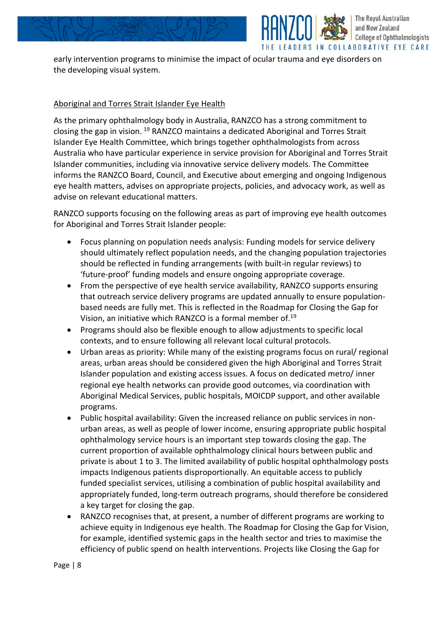



early intervention programs to minimise the impact of ocular trauma and eye disorders on the developing visual system.

## Aboriginal and Torres Strait Islander Eye Health

As the primary ophthalmology body in Australia, RANZCO has a strong commitment to closing the gap in vision. [19](#page-11-13) RANZCO maintains a dedicated Aboriginal and Torres Strait Islander Eye Health Committee, which brings together ophthalmologists from across Australia who have particular experience in service provision for Aboriginal and Torres Strait Islander communities, including via innovative service delivery models. The Committee informs the RANZCO Board, Council, and Executive about emerging and ongoing Indigenous eye health matters, advises on appropriate projects, policies, and advocacy work, as well as advise on relevant educational matters.

RANZCO supports focusing on the following areas as part of improving eye health outcomes for Aboriginal and Torres Strait Islander people:

- Focus planning on population needs analysis: Funding models for service delivery should ultimately reflect population needs, and the changing population trajectories should be reflected in funding arrangements (with built-in regular reviews) to 'future-proof' funding models and ensure ongoing appropriate coverage.
- From the perspective of eye health service availability, RANZCO supports ensuring that outreach service delivery programs are updated annually to ensure populationbased needs are fully met. This is reflected in the Roadmap for Closing the Gap for Vision, an initiative which RANZCO is a formal member of.19
- Programs should also be flexible enough to allow adjustments to specific local contexts, and to ensure following all relevant local cultural protocols.
- Urban areas as priority: While many of the existing programs focus on rural/ regional areas, urban areas should be considered given the high Aboriginal and Torres Strait Islander population and existing access issues. A focus on dedicated metro/ inner regional eye health networks can provide good outcomes, via coordination with Aboriginal Medical Services, public hospitals, MOICDP support, and other available programs.
- Public hospital availability: Given the increased reliance on public services in nonurban areas, as well as people of lower income, ensuring appropriate public hospital ophthalmology service hours is an important step towards closing the gap. The current proportion of available ophthalmology clinical hours between public and private is about 1 to 3. The limited availability of public hospital ophthalmology posts impacts Indigenous patients disproportionally. An equitable access to publicly funded specialist services, utilising a combination of public hospital availability and appropriately funded, long-term outreach programs, should therefore be considered a key target for closing the gap.
- RANZCO recognises that, at present, a number of different programs are working to achieve equity in Indigenous eye health. The Roadmap for Closing the Gap for Vision, for example, identified systemic gaps in the health sector and tries to maximise the efficiency of public spend on health interventions. Projects like Closing the Gap for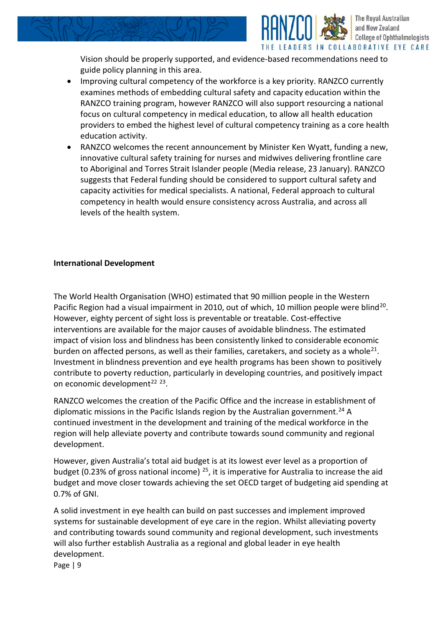

The Royal Australian and New Zealand

- guide policy planning in this area. • Improving cultural competency of the workforce is a key priority. RANZCO currently examines methods of embedding cultural safety and capacity education within the RANZCO training program, however RANZCO will also support resourcing a national focus on cultural competency in medical education, to allow all health education providers to embed the highest level of cultural competency training as a core health education activity.
- RANZCO welcomes the recent announcement by Minister Ken Wyatt, funding a new, innovative cultural safety training for nurses and midwives delivering frontline care to Aboriginal and Torres Strait Islander people (Media release, 23 January). RANZCO suggests that Federal funding should be considered to support cultural safety and capacity activities for medical specialists. A national, Federal approach to cultural competency in health would ensure consistency across Australia, and across all levels of the health system.

### **International Development**

The World Health Organisation (WHO) estimated that 90 million people in the Western Pacific Region had a visual impairment in [20](#page-11-14)10, out of which, 10 million people were blind<sup>20</sup>. However, eighty percent of sight loss is preventable or treatable. Cost-effective interventions are available for the major causes of avoidable blindness. The estimated impact of vision loss and blindness has been consistently linked to considerable economic burden on affected persons, as well as their families, caretakers, and society as a whole<sup>[21](#page-11-15)</sup>. Investment in blindness prevention and eye health programs has been shown to positively contribute to poverty reduction, particularly in developing countries, and positively impact on economic development<sup>[22](#page-11-16)</sup>  $23$ .

RANZCO welcomes the creation of the Pacific Office and the increase in establishment of diplomatic missions in the Pacific Islands region by the Australian government.<sup>[24](#page-11-18)</sup> A continued investment in the development and training of the medical workforce in the region will help alleviate poverty and contribute towards sound community and regional development.

However, given Australia's total aid budget is at its lowest ever level as a proportion of budget (0.23% of gross national income)  $25$ , it is imperative for Australia to increase the aid budget and move closer towards achieving the set OECD target of budgeting aid spending at 0.7% of GNI.

A solid investment in eye health can build on past successes and implement improved systems for sustainable development of eye care in the region. Whilst alleviating poverty and contributing towards sound community and regional development, such investments will also further establish Australia as a regional and global leader in eye health development.

Page | 9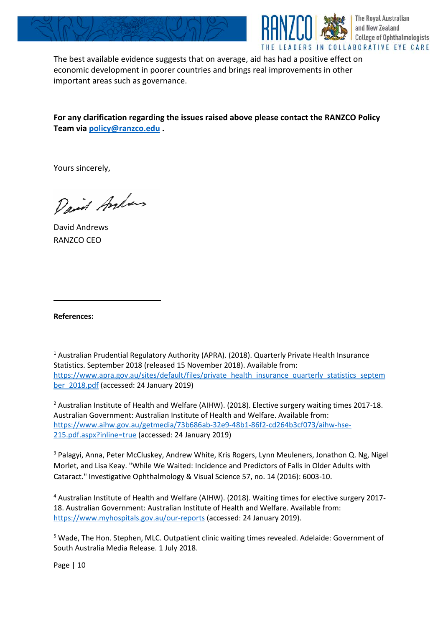



The best available evidence suggests that on average, aid has had a positive effect on economic development in poorer countries and brings real improvements in other important areas such as governance.

**For any clarification regarding the issues raised above please contact the RANZCO Policy Team via [policy@ranzco.edu](mailto:policy@ranzco.edu) .**

Yours sincerely,

David Anhans

David Andrews RANZCO CEO

**References:**

 $\overline{a}$ 

<sup>1</sup> Australian Prudential Regulatory Authority (APRA). (2018). Quarterly Private Health Insurance Statistics. September 2018 (released 15 November 2018). Available from: [https://www.apra.gov.au/sites/default/files/private\\_health\\_insurance\\_quarterly\\_statistics\\_septem](https://www.apra.gov.au/sites/default/files/private_health_insurance_quarterly_statistics_september_2018.pdf) [ber\\_2018.pdf](https://www.apra.gov.au/sites/default/files/private_health_insurance_quarterly_statistics_september_2018.pdf) (accessed: 24 January 2019)

<sup>2</sup> Australian Institute of Health and Welfare (AIHW). (2018). Elective surgery waiting times 2017-18. Australian Government: Australian Institute of Health and Welfare. Available from: [https://www.aihw.gov.au/getmedia/73b686ab-32e9-48b1-86f2-cd264b3cf073/aihw-hse-](https://www.aihw.gov.au/getmedia/73b686ab-32e9-48b1-86f2-cd264b3cf073/aihw-hse-215.pdf.aspx?inline=true)[215.pdf.aspx?inline=true](https://www.aihw.gov.au/getmedia/73b686ab-32e9-48b1-86f2-cd264b3cf073/aihw-hse-215.pdf.aspx?inline=true) (accessed: 24 January 2019)

<sup>3</sup> Palagyi, Anna, Peter McCluskey, Andrew White, Kris Rogers, Lynn Meuleners, Jonathon Q. Ng, Nigel Morlet, and Lisa Keay. "While We Waited: Incidence and Predictors of Falls in Older Adults with Cataract." Investigative Ophthalmology & Visual Science 57, no. 14 (2016): 6003-10.

<sup>4</sup> Australian Institute of Health and Welfare (AIHW). (2018). Waiting times for elective surgery 2017- 18. Australian Government: Australian Institute of Health and Welfare. Available from: <https://www.myhospitals.gov.au/our-reports> (accessed: 24 January 2019).

<sup>5</sup> Wade, The Hon. Stephen, MLC. Outpatient clinic waiting times revealed. Adelaide: Government of South Australia Media Release. 1 July 2018.

Page | 10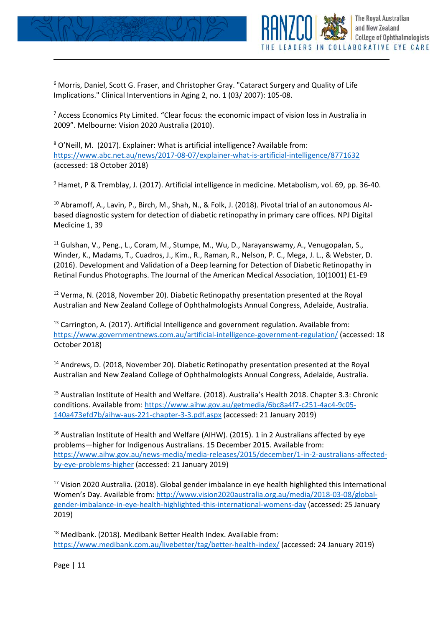

**The Royal Australian** and New Zealand

LEADERS IN COLLABORATIVE EYE CARE

**College of Ophthalmologists** 

<sup>7</sup> Access Economics Pty Limited. "Clear focus: the economic impact of vision loss in Australia in 2009". Melbourne: Vision 2020 Australia (2010).

<sup>8</sup> O'Neill, M. (2017). Explainer: What is artificial intelligence? Available from: <https://www.abc.net.au/news/2017-08-07/explainer-what-is-artificial-intelligence/8771632> (accessed: 18 October 2018)

<sup>9</sup> Hamet, P & Tremblay, J. (2017). Artificial intelligence in medicine. Metabolism, vol. 69, pp. 36-40.

<sup>10</sup> Abramoff, A., Lavin, P., Birch, M., Shah, N., & Folk, J. (2018). Pivotal trial of an autonomous Albased diagnostic system for detection of diabetic retinopathy in primary care offices. NPJ Digital Medicine 1, 39

<sup>11</sup> Gulshan, V., Peng., L., Coram, M., Stumpe, M., Wu, D., Narayanswamy, A., Venugopalan, S., Winder, K., Madams, T., Cuadros, J., Kim., R., Raman, R., Nelson, P. C., Mega, J. L., & Webster, D. (2016). Development and Validation of a Deep learning for Detection of Diabetic Retinopathy in Retinal Fundus Photographs. The Journal of the American Medical Association, 10(1001) E1-E9

 $12$  Verma, N. (2018, November 20). Diabetic Retinopathy presentation presented at the Royal Australian and New Zealand College of Ophthalmologists Annual Congress, Adelaide, Australia.

<span id="page-10-0"></span><sup>13</sup> Carrington, A. (2017). Artificial Intelligence and government regulation. Available from: <https://www.governmentnews.com.au/artificial-intelligence-government-regulation/> (accessed: 18 October 2018)

<sup>14</sup> Andrews, D. (2018, November 20). Diabetic Retinopathy presentation presented at the Royal Australian and New Zealand College of Ophthalmologists Annual Congress, Adelaide, Australia.

<span id="page-10-1"></span><sup>15</sup> Australian Institute of Health and Welfare. (2018). Australia's Health 2018. Chapter 3.3: Chronic conditions. Available from: [https://www.aihw.gov.au/getmedia/6bc8a4f7-c251-4ac4-9c05-](https://www.aihw.gov.au/getmedia/6bc8a4f7-c251-4ac4-9c05-140a473efd7b/aihw-aus-221-chapter-3-3.pdf.aspx) [140a473efd7b/aihw-aus-221-chapter-3-3.pdf.aspx](https://www.aihw.gov.au/getmedia/6bc8a4f7-c251-4ac4-9c05-140a473efd7b/aihw-aus-221-chapter-3-3.pdf.aspx) (accessed: 21 January 2019)

<span id="page-10-2"></span><sup>16</sup> Australian Institute of Health and Welfare (AIHW). (2015). 1 in 2 Australians affected by eye problems—higher for Indigenous Australians. 15 December 2015. Available from: [https://www.aihw.gov.au/news-media/media-releases/2015/december/1-in-2-australians-affected](https://www.aihw.gov.au/news-media/media-releases/2015/december/1-in-2-australians-affected-by-eye-problems-higher)[by-eye-problems-higher](https://www.aihw.gov.au/news-media/media-releases/2015/december/1-in-2-australians-affected-by-eye-problems-higher) (accessed: 21 January 2019)

<span id="page-10-3"></span><sup>17</sup> Vision 2020 Australia. (2018). Global gender imbalance in eye health highlighted this International Women's Day. Available from: [http://www.vision2020australia.org.au/media/2018-03-08/global](http://www.vision2020australia.org.au/media/2018-03-08/global-gender-imbalance-in-eye-health-highlighted-this-international-womens-day)[gender-imbalance-in-eye-health-highlighted-this-international-womens-day](http://www.vision2020australia.org.au/media/2018-03-08/global-gender-imbalance-in-eye-health-highlighted-this-international-womens-day) (accessed: 25 January 2019)

<span id="page-10-4"></span><sup>18</sup> Medibank. (2018). Medibank Better Health Index. Available from: <https://www.medibank.com.au/livebetter/tag/better-health-index/> (accessed: 24 January 2019)

Page | 11

j